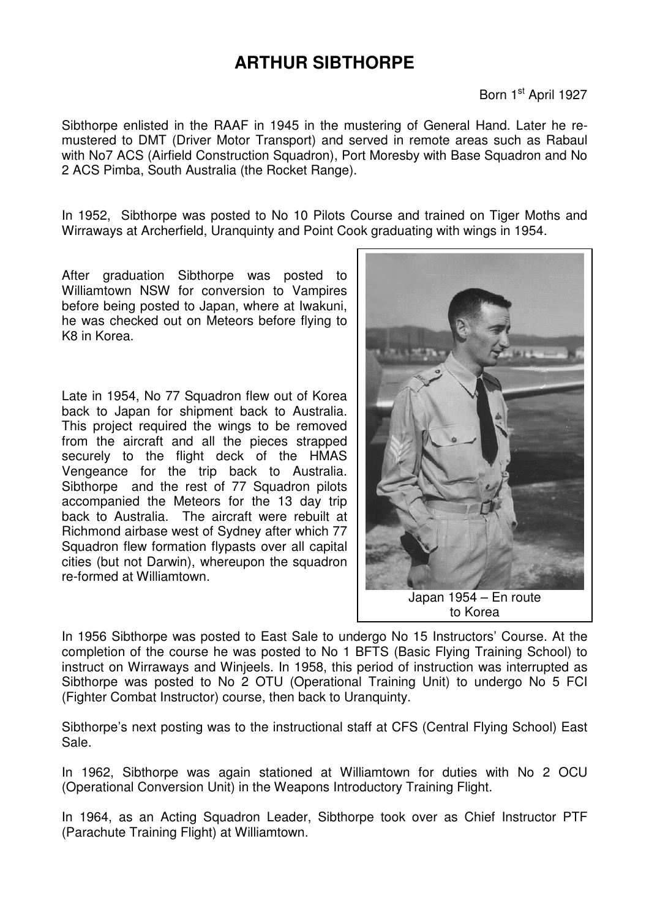## **ARTHUR SIBTHORPE**

## Born 1<sup>st</sup> April 1927

Sibthorpe enlisted in the RAAF in 1945 in the mustering of General Hand. Later he remustered to DMT (Driver Motor Transport) and served in remote areas such as Rabaul with No7 ACS (Airfield Construction Squadron), Port Moresby with Base Squadron and No 2 ACS Pimba, South Australia (the Rocket Range).

In 1952, Sibthorpe was posted to No 10 Pilots Course and trained on Tiger Moths and Wirraways at Archerfield, Uranquinty and Point Cook graduating with wings in 1954.

After graduation Sibthorpe was posted to Williamtown NSW for conversion to Vampires before being posted to Japan, where at Iwakuni, he was checked out on Meteors before flying to K8 in Korea.

Late in 1954, No 77 Squadron flew out of Korea back to Japan for shipment back to Australia. This project required the wings to be removed from the aircraft and all the pieces strapped securely to the flight deck of the HMAS Vengeance for the trip back to Australia. Sibthorpe and the rest of 77 Squadron pilots accompanied the Meteors for the 13 day trip back to Australia. The aircraft were rebuilt at Richmond airbase west of Sydney after which 77 Squadron flew formation flypasts over all capital cities (but not Darwin), whereupon the squadron re-formed at Williamtown.



In 1956 Sibthorpe was posted to East Sale to undergo No 15 Instructors' Course. At the completion of the course he was posted to No 1 BFTS (Basic Flying Training School) to instruct on Wirraways and Winjeels. In 1958, this period of instruction was interrupted as Sibthorpe was posted to No 2 OTU (Operational Training Unit) to undergo No 5 FCI (Fighter Combat Instructor) course, then back to Uranquinty.

Sibthorpe's next posting was to the instructional staff at CFS (Central Flying School) East Sale.

In 1962, Sibthorpe was again stationed at Williamtown for duties with No 2 OCU (Operational Conversion Unit) in the Weapons Introductory Training Flight.

In 1964, as an Acting Squadron Leader, Sibthorpe took over as Chief Instructor PTF (Parachute Training Flight) at Williamtown.